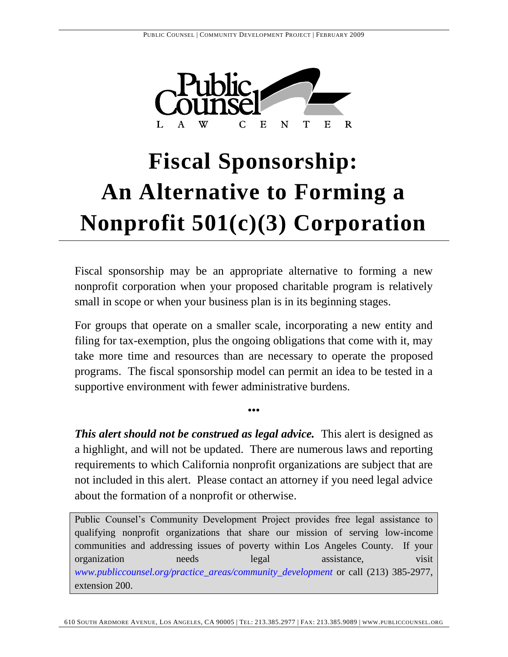

# **Fiscal Sponsorship: An Alternative to Forming a Nonprofit 501(c)(3) Corporation**

Fiscal sponsorship may be an appropriate alternative to forming a new nonprofit corporation when your proposed charitable program is relatively small in scope or when your business plan is in its beginning stages.

For groups that operate on a smaller scale, incorporating a new entity and filing for tax-exemption, plus the ongoing obligations that come with it, may take more time and resources than are necessary to operate the proposed programs. The fiscal sponsorship model can permit an idea to be tested in a supportive environment with fewer administrative burdens.

*This alert should not be construed as legal advice.* This alert is designed as a highlight, and will not be updated. There are numerous laws and reporting requirements to which California nonprofit organizations are subject that are not included in this alert. Please contact an attorney if you need legal advice about the formation of a nonprofit or otherwise.

•••

Public Counsel's Community Development Project provides free legal assistance to qualifying nonprofit organizations that share our mission of serving low-income communities and addressing issues of poverty within Los Angeles County. If your organization needs legal assistance, visit *www.publiccounsel.org/practice\_areas/community\_development* or call (213) 385-2977, extension 200.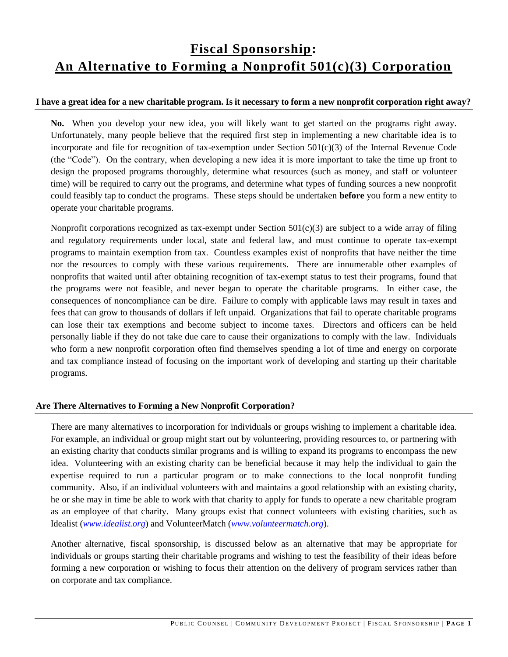# **Fiscal Sponsorship: An Alternative to Forming a Nonprofit 501(c)(3) Corporation**

### **I have a great idea for a new charitable program. Is it necessary to form a new nonprofit corporation right away?**

**No.** When you develop your new idea, you will likely want to get started on the programs right away. Unfortunately, many people believe that the required first step in implementing a new charitable idea is to incorporate and file for recognition of tax-exemption under Section  $501(c)(3)$  of the Internal Revenue Code (the "Code"). On the contrary, when developing a new idea it is more important to take the time up front to design the proposed programs thoroughly, determine what resources (such as money, and staff or volunteer time) will be required to carry out the programs, and determine what types of funding sources a new nonprofit could feasibly tap to conduct the programs. These steps should be undertaken **before** you form a new entity to operate your charitable programs.

Nonprofit corporations recognized as tax-exempt under Section  $501(c)(3)$  are subject to a wide array of filing and regulatory requirements under local, state and federal law, and must continue to operate tax-exempt programs to maintain exemption from tax. Countless examples exist of nonprofits that have neither the time nor the resources to comply with these various requirements. There are innumerable other examples of nonprofits that waited until after obtaining recognition of tax-exempt status to test their programs, found that the programs were not feasible, and never began to operate the charitable programs. In either case, the consequences of noncompliance can be dire. Failure to comply with applicable laws may result in taxes and fees that can grow to thousands of dollars if left unpaid. Organizations that fail to operate charitable programs can lose their tax exemptions and become subject to income taxes. Directors and officers can be held personally liable if they do not take due care to cause their organizations to comply with the law. Individuals who form a new nonprofit corporation often find themselves spending a lot of time and energy on corporate and tax compliance instead of focusing on the important work of developing and starting up their charitable programs.

# **Are There Alternatives to Forming a New Nonprofit Corporation?**

There are many alternatives to incorporation for individuals or groups wishing to implement a charitable idea. For example, an individual or group might start out by volunteering, providing resources to, or partnering with an existing charity that conducts similar programs and is willing to expand its programs to encompass the new idea. Volunteering with an existing charity can be beneficial because it may help the individual to gain the expertise required to run a particular program or to make connections to the local nonprofit funding community. Also, if an individual volunteers with and maintains a good relationship with an existing charity, he or she may in time be able to work with that charity to apply for funds to operate a new charitable program as an employee of that charity. Many groups exist that connect volunteers with existing charities, such as Idealist (*www.idealist.org*) and VolunteerMatch (*www.volunteermatch.org*).

Another alternative, fiscal sponsorship, is discussed below as an alternative that may be appropriate for individuals or groups starting their charitable programs and wishing to test the feasibility of their ideas before forming a new corporation or wishing to focus their attention on the delivery of program services rather than on corporate and tax compliance.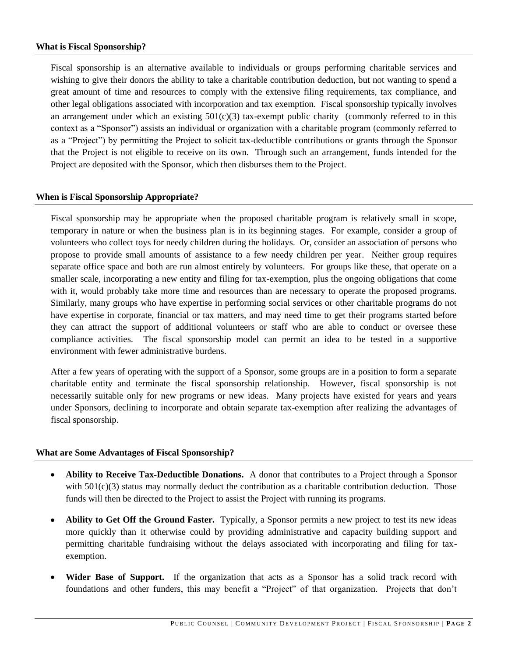#### **What is Fiscal Sponsorship?**

Fiscal sponsorship is an alternative available to individuals or groups performing charitable services and wishing to give their donors the ability to take a charitable contribution deduction, but not wanting to spend a great amount of time and resources to comply with the extensive filing requirements, tax compliance, and other legal obligations associated with incorporation and tax exemption. Fiscal sponsorship typically involves an arrangement under which an existing  $501(c)(3)$  tax-exempt public charity (commonly referred to in this context as a "Sponsor") assists an individual or organization with a charitable program (commonly referred to as a "Project") by permitting the Project to solicit tax-deductible contributions or grants through the Sponsor that the Project is not eligible to receive on its own. Through such an arrangement, funds intended for the Project are deposited with the Sponsor, which then disburses them to the Project.

#### **When is Fiscal Sponsorship Appropriate?**

Fiscal sponsorship may be appropriate when the proposed charitable program is relatively small in scope, temporary in nature or when the business plan is in its beginning stages. For example, consider a group of volunteers who collect toys for needy children during the holidays. Or, consider an association of persons who propose to provide small amounts of assistance to a few needy children per year. Neither group requires separate office space and both are run almost entirely by volunteers. For groups like these, that operate on a smaller scale, incorporating a new entity and filing for tax-exemption, plus the ongoing obligations that come with it, would probably take more time and resources than are necessary to operate the proposed programs. Similarly, many groups who have expertise in performing social services or other charitable programs do not have expertise in corporate, financial or tax matters, and may need time to get their programs started before they can attract the support of additional volunteers or staff who are able to conduct or oversee these compliance activities. The fiscal sponsorship model can permit an idea to be tested in a supportive environment with fewer administrative burdens.

After a few years of operating with the support of a Sponsor, some groups are in a position to form a separate charitable entity and terminate the fiscal sponsorship relationship. However, fiscal sponsorship is not necessarily suitable only for new programs or new ideas. Many projects have existed for years and years under Sponsors, declining to incorporate and obtain separate tax-exemption after realizing the advantages of fiscal sponsorship.

#### **What are Some Advantages of Fiscal Sponsorship?**

- **Ability to Receive Tax-Deductible Donations.** A donor that contributes to a Project through a Sponsor  $\bullet$ with  $501(c)(3)$  status may normally deduct the contribution as a charitable contribution deduction. Those funds will then be directed to the Project to assist the Project with running its programs.
- **Ability to Get Off the Ground Faster.** Typically, a Sponsor permits a new project to test its new ideas  $\bullet$ more quickly than it otherwise could by providing administrative and capacity building support and permitting charitable fundraising without the delays associated with incorporating and filing for taxexemption.
- **Wider Base of Support.** If the organization that acts as a Sponsor has a solid track record with  $\bullet$ foundations and other funders, this may benefit a "Project" of that organization. Projects that don't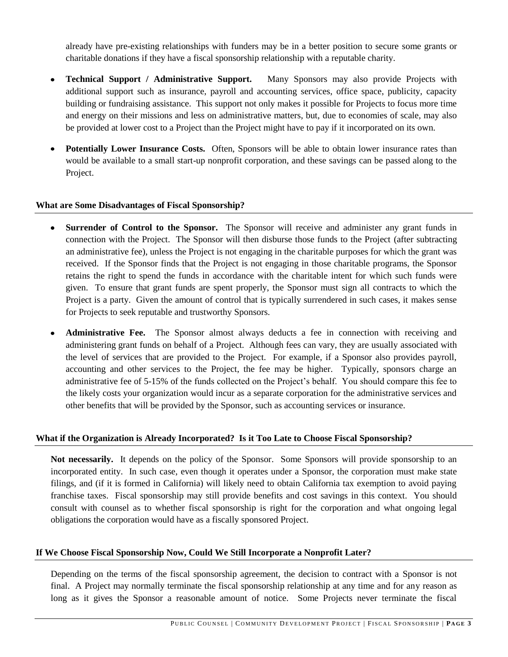already have pre-existing relationships with funders may be in a better position to secure some grants or charitable donations if they have a fiscal sponsorship relationship with a reputable charity.

- **Technical Support / Administrative Support.** Many Sponsors may also provide Projects with  $\bullet$ additional support such as insurance, payroll and accounting services, office space, publicity, capacity building or fundraising assistance. This support not only makes it possible for Projects to focus more time and energy on their missions and less on administrative matters, but, due to economies of scale, may also be provided at lower cost to a Project than the Project might have to pay if it incorporated on its own.
- **Potentially Lower Insurance Costs.** Often, Sponsors will be able to obtain lower insurance rates than would be available to a small start-up nonprofit corporation, and these savings can be passed along to the Project.

#### **What are Some Disadvantages of Fiscal Sponsorship?**

- **Surrender of Control to the Sponsor.** The Sponsor will receive and administer any grant funds in  $\bullet$ connection with the Project. The Sponsor will then disburse those funds to the Project (after subtracting an administrative fee), unless the Project is not engaging in the charitable purposes for which the grant was received. If the Sponsor finds that the Project is not engaging in those charitable programs, the Sponsor retains the right to spend the funds in accordance with the charitable intent for which such funds were given. To ensure that grant funds are spent properly, the Sponsor must sign all contracts to which the Project is a party. Given the amount of control that is typically surrendered in such cases, it makes sense for Projects to seek reputable and trustworthy Sponsors.
- **Administrative Fee.** The Sponsor almost always deducts a fee in connection with receiving and  $\bullet$ administering grant funds on behalf of a Project. Although fees can vary, they are usually associated with the level of services that are provided to the Project. For example, if a Sponsor also provides payroll, accounting and other services to the Project, the fee may be higher. Typically, sponsors charge an administrative fee of 5-15% of the funds collected on the Project's behalf. You should compare this fee to the likely costs your organization would incur as a separate corporation for the administrative services and other benefits that will be provided by the Sponsor, such as accounting services or insurance.

# **What if the Organization is Already Incorporated? Is it Too Late to Choose Fiscal Sponsorship?**

**Not necessarily.** It depends on the policy of the Sponsor. Some Sponsors will provide sponsorship to an incorporated entity. In such case, even though it operates under a Sponsor, the corporation must make state filings, and (if it is formed in California) will likely need to obtain California tax exemption to avoid paying franchise taxes. Fiscal sponsorship may still provide benefits and cost savings in this context. You should consult with counsel as to whether fiscal sponsorship is right for the corporation and what ongoing legal obligations the corporation would have as a fiscally sponsored Project.

#### **If We Choose Fiscal Sponsorship Now, Could We Still Incorporate a Nonprofit Later?**

Depending on the terms of the fiscal sponsorship agreement, the decision to contract with a Sponsor is not final. A Project may normally terminate the fiscal sponsorship relationship at any time and for any reason as long as it gives the Sponsor a reasonable amount of notice. Some Projects never terminate the fiscal